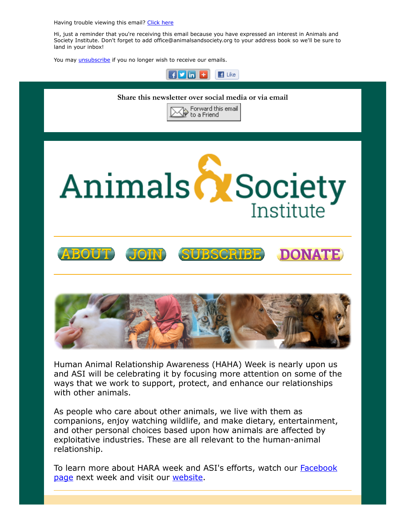Having trouble viewing this email? [Click](http://campaign.r20.constantcontact.com/render?ca=527e5df1-ef2d-443b-b23c-cca59f5fbcb7&preview=true&m=1117082078075&id=preview) here

Hi, just a reminder that you're receiving this email because you have expressed an interest in Animals and Society Institute. Don't forget to add office@animalsandsociety.org to your address book so we'll be sure to land in your inbox!

 $\blacksquare$  Like

 $\mathbf{F}$   $\mathbf{v}$  in  $\mathbf{r}$ 

You may *[unsubscribe](https://visitor.constantcontact.com/do?p=un&mse=0016u8cGCOk4ijLe6EYFlbq8UmlFeKV0nFU&t=001dBI2jRNHFXqLr-46SDsXXw%3D%3D&id=001b-xBWU3VMkcM8dYr8taaWXSJRe02Iknl&llr=88spulqab)* if you no longer wish to receive our emails.



Human Animal Relationship Awareness (HAHA) Week is nearly upon us and ASI will be celebrating it by focusing more attention on some of the ways that we work to support, protect, and enhance our relationships with other animals.

As people who care about other animals, we live with them as companions, enjoy watching wildlife, and make dietary, entertainment, and other personal choices based upon how animals are affected by exploitative industries. These are all relevant to the human-animal relationship.

To learn more about HARA week and ASI's efforts, watch our **Facebook** page next week and visit our [website](https://www.animalsandsociety.org/human-animal-relationship-awareness-week/).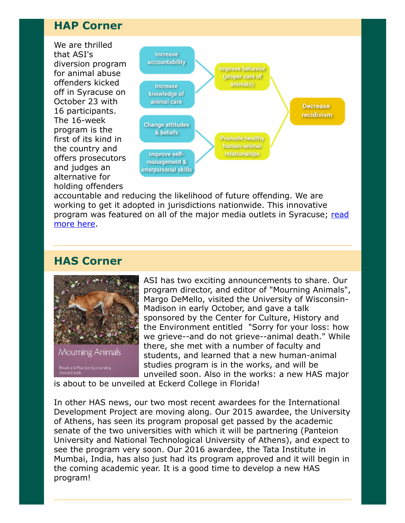## HAP Corner

We are thrilled that ASI's diversion program for animal abuse offenders kicked off in Syracuse on October 23 with 16 participants. The 16-week program is the first of its kind in the country and offers prosecutors and judges an alternative for holding offenders



accountable and reducing the likelihood of future offending. We are working to get it adopted in jurisdictions nationwide. This innovative [program was featured on all of the major media outlets in Syracuse; read](http://spectrumlocalnews.com/nys/central-ny/news/2017/10/25/cny-animal-cruelty-task-force-rolls-out-jail-diversion-program-for-offenders) more here.

## HAS Corner



ASI has two exciting announcements to share. Our program director, and editor of "Mourning Animals", Margo DeMello, visited the University of Wisconsin-Madison in early October, and gave a talk sponsored by the Center for Culture, History and the Environment entitled "Sorry for your loss: how we grieve--and do not grieve--animal death." While there, she met with a number of faculty and students, and learned that a new human-animal studies program is in the works, and will be unveiled soon. Also in the works: a new HAS major

is about to be unveiled at Eckerd College in Florida!

In other HAS news, our two most recent awardees for the International Development Project are moving along. Our 2015 awardee, the University of Athens, has seen its program proposal get passed by the academic senate of the two universities with which it will be partnering (Panteion University and National Technological University of Athens), and expect to see the program very soon. Our 2016 awardee, the Tata Institute in Mumbai, India, has also just had its program approved and it will begin in the coming academic year. It is a good time to develop a new HAS program!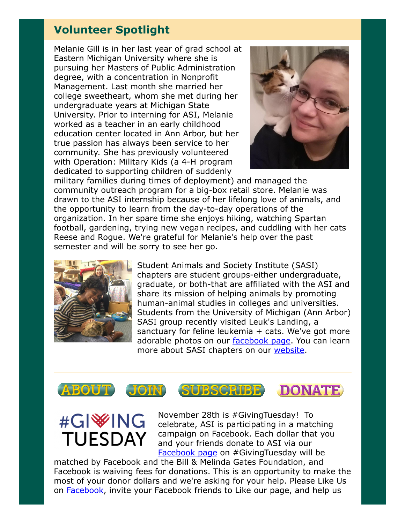## Volunteer Spotlight

Melanie Gill is in her last year of grad school at Eastern Michigan University where she is pursuing her Masters of Public Administration degree, with a concentration in Nonprofit Management. Last month she married her college sweetheart, whom she met during her undergraduate years at Michigan State University. Prior to interning for ASI, Melanie worked as a teacher in an early childhood education center located in Ann Arbor, but her true passion has always been service to her community. She has previously volunteered with Operation: Military Kids (a 4-H program dedicated to supporting children of suddenly



military families during times of deployment) and managed the community outreach program for a big-box retail store. Melanie was drawn to the ASI internship because of her lifelong love of animals, and the opportunity to learn from the day-to-day operations of the organization. In her spare time she enjoys hiking, watching Spartan football, gardening, trying new vegan recipes, and cuddling with her cats Reese and Rogue. We're grateful for Melanie's help over the past semester and will be sorry to see her go.



Student Animals and Society Institute (SASI) chapters are student groups-either undergraduate, graduate, or both-that are affiliated with the ASI and share its mission of helping animals by promoting human-animal studies in colleges and universities. Students from the University of Michigan (Ann Arbor) SASI group recently visited Leuk's Landing, a sanctuary for feline leukemia + cats. We've got more adorable photos on our [facebook page](https://www.facebook.com/pg/AnimalsandSocietyInstitute/photos/?tab=album&album_id=10155917595933628). You can learn more about SASI chapters on our [website](https://www.animalsandsociety.org/human-animal-studies/sasis/).



## #GI<sup>\</sup>ING **TUESDAY**

November 28th is #GivingTuesday! To celebrate, ASI is participating in a matching campaign on Facebook. Each dollar that you and your friends donate to ASI via our [Facebook page](https://www.facebook.com/AnimalsandSocietyInstitute/) on #GivingTuesday will be

matched by Facebook and the Bill & Melinda Gates Foundation, and Facebook is waiving fees for donations. This is an opportunity to make the most of your donor dollars and we're asking for your help. Please Like Us on **Facebook**, invite your [Facebook](https://www.facebook.com/AnimalsandSocietyInstitute/) friends to Like our page, and help us